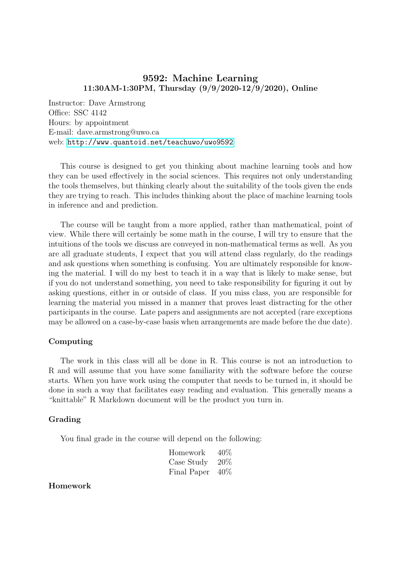# 9592: Machine Learning 11:30AM-1:30PM, Thursday (9/9/2020-12/9/2020), Online

Instructor: Dave Armstrong Office: SSC 4142 Hours: by appointment E-mail: dave.armstrong@uwo.ca web: <http://www.quantoid.net/teachuwo/uwo9592>

This course is designed to get you thinking about machine learning tools and how they can be used effectively in the social sciences. This requires not only understanding the tools themselves, but thinking clearly about the suitability of the tools given the ends they are trying to reach. This includes thinking about the place of machine learning tools in inference and and prediction.

The course will be taught from a more applied, rather than mathematical, point of view. While there will certainly be some math in the course, I will try to ensure that the intuitions of the tools we discuss are conveyed in non-mathematical terms as well. As you are all graduate students, I expect that you will attend class regularly, do the readings and ask questions when something is confusing. You are ultimately responsible for knowing the material. I will do my best to teach it in a way that is likely to make sense, but if you do not understand something, you need to take responsibility for figuring it out by asking questions, either in or outside of class. If you miss class, you are responsible for learning the material you missed in a manner that proves least distracting for the other participants in the course. Late papers and assignments are not accepted (rare exceptions may be allowed on a case-by-case basis when arrangements are made before the due date).

## Computing

The work in this class will all be done in R. This course is not an introduction to R and will assume that you have some familiarity with the software before the course starts. When you have work using the computer that needs to be turned in, it should be done in such a way that facilitates easy reading and evaluation. This generally means a "knittable" R Markdown document will be the product you turn in.

## Grading

You final grade in the course will depend on the following:

| Homework    | 40% |
|-------------|-----|
| Case Study  | 20% |
| Final Paper | 40% |

Homework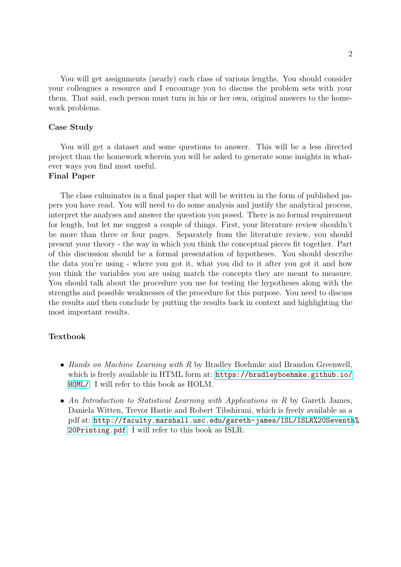You will get assignments (nearly) each class of various lengths. You should consider your colleagues a resource and I encourage you to discuss the problem sets with your them. That said, each person must turn in his or her own, original answers to the homework problems.

#### Case Study

You will get a dataset and some questions to answer. This will be a less directed project than the homework wherein you will be asked to generate some insights in whatever ways you find most useful.

### Final Paper

The class culminates in a final paper that will be written in the form of published papers you have read. You will need to do some analysis and justify the analytical process, interpret the analyses and answer the question you posed. There is no formal requirement for length, but let me suggest a couple of things. First, your literature review shouldn't be more than three or four pages. Separately from the literature review, you should present your theory - the way in which you think the conceptual pieces fit together. Part of this discussion should be a formal presentation of hypotheses. You should describe the data you're using - where you got it, what you did to it after you got it and how you think the variables you are using match the concepts they are meant to measure. You should talk about the procedure you use for testing the hypotheses along with the strengths and possible weaknesses of the procedure for this purpose. You need to discuss the results and then conclude by putting the results back in context and highlighting the most important results.

## Textbook

- Hands on Machine Learning with R by Bradley Boehmke and Brandon Greenwell, which is freely available in HTML form at: [https://bradleyboehmke.github.io/](https://bradleyboehmke.github.io/HOML/) [HOML/](https://bradleyboehmke.github.io/HOML/). I will refer to this book as HOLM.
- An Introduction to Statistical Learning with Applications in R by Gareth James, Daniela Witten, Trevor Hastie and Robert Tibshirani, which is freely available as a pdf at: [http://faculty.marshall.usc.edu/gareth-james/ISL/ISLR%20Seventh](http://faculty.marshall.usc.edu/gareth-james/ISL/ISLR%20Seventh%20Printing.pdf)% [20Printing.pdf](http://faculty.marshall.usc.edu/gareth-james/ISL/ISLR%20Seventh%20Printing.pdf). I will refer to this book as ISLR.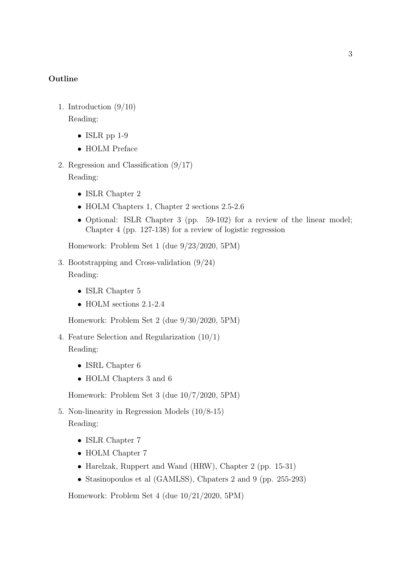## Outline

1. Introduction (9/10)

Reading:

- ISLR pp 1-9
- HOLM Preface
- 2. Regression and Classification (9/17) Reading:
	- ISLR Chapter 2
	- HOLM Chapters 1, Chapter 2 sections 2.5-2.6
	- Optional: ISLR Chapter 3 (pp. 59-102) for a review of the linear model; Chapter 4 (pp. 127-138) for a review of logistic regression

Homework: Problem Set 1 (due 9/23/2020, 5PM)

- 3. Bootstrapping and Cross-validation (9/24) Reading:
	- ISLR Chapter 5
	- HOLM sections 2.1-2.4

Homework: Problem Set 2 (due 9/30/2020, 5PM)

- 4. Feature Selection and Regularization (10/1) Reading:
	- ISRL Chapter 6
	- HOLM Chapters 3 and 6

Homework: Problem Set 3 (due 10/7/2020, 5PM)

- 5. Non-linearity in Regression Models (10/8-15) Reading:
	- ISLR Chapter 7
	- HOLM Chapter 7
	- Harelzak, Ruppert and Wand (HRW), Chapter 2 (pp. 15-31)
	- Stasinopoulos et al (GAMLSS), Chpaters 2 and 9 (pp. 255-293)

Homework: Problem Set 4 (due 10/21/2020, 5PM)